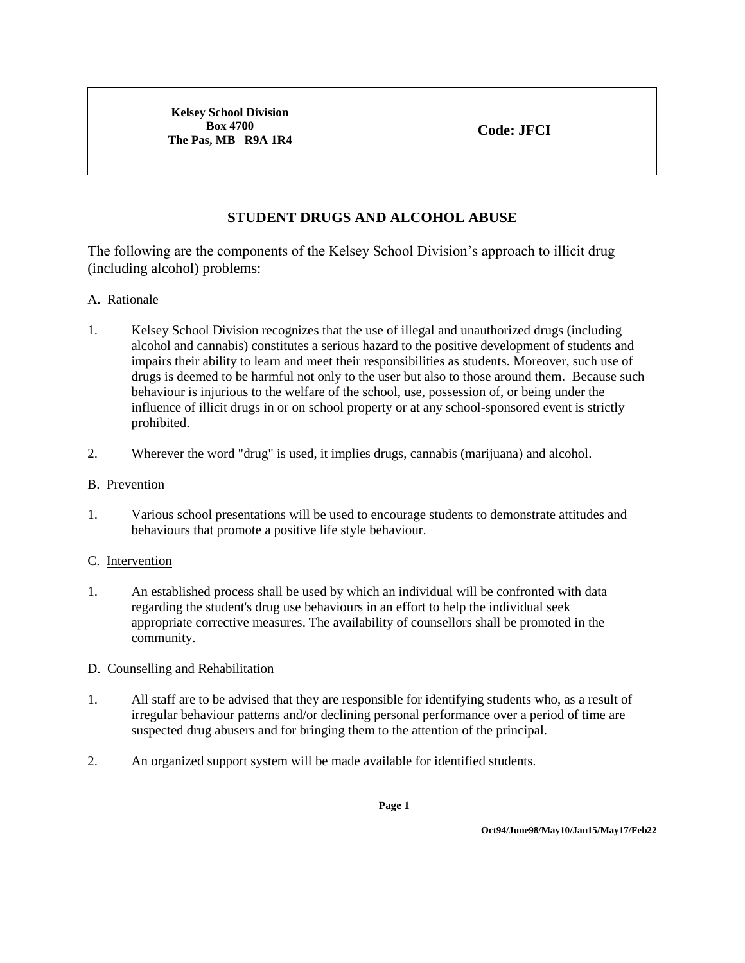# **STUDENT DRUGS AND ALCOHOL ABUSE**

The following are the components of the Kelsey School Division's approach to illicit drug (including alcohol) problems:

## A. Rationale

- 1. Kelsey School Division recognizes that the use of illegal and unauthorized drugs (including alcohol and cannabis) constitutes a serious hazard to the positive development of students and impairs their ability to learn and meet their responsibilities as students. Moreover, such use of drugs is deemed to be harmful not only to the user but also to those around them. Because such behaviour is injurious to the welfare of the school, use, possession of, or being under the influence of illicit drugs in or on school property or at any school-sponsored event is strictly prohibited.
- 2. Wherever the word "drug" is used, it implies drugs, cannabis (marijuana) and alcohol.
- B. Prevention
- 1. Various school presentations will be used to encourage students to demonstrate attitudes and behaviours that promote a positive life style behaviour.

### C. Intervention

1. An established process shall be used by which an individual will be confronted with data regarding the student's drug use behaviours in an effort to help the individual seek appropriate corrective measures. The availability of counsellors shall be promoted in the community.

### D. Counselling and Rehabilitation

- 1. All staff are to be advised that they are responsible for identifying students who, as a result of irregular behaviour patterns and/or declining personal performance over a period of time are suspected drug abusers and for bringing them to the attention of the principal.
- 2. An organized support system will be made available for identified students.

**Page 1**

**Oct94/June98/May10/Jan15/May17/Feb22**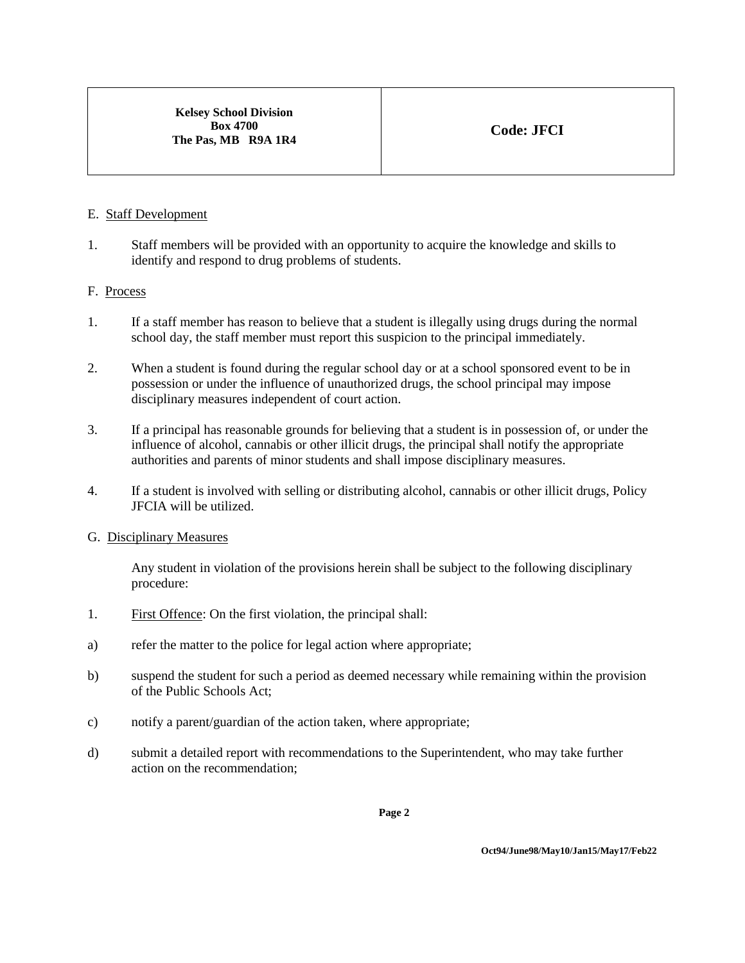### E. Staff Development

1. Staff members will be provided with an opportunity to acquire the knowledge and skills to identify and respond to drug problems of students.

## F. Process

- 1. If a staff member has reason to believe that a student is illegally using drugs during the normal school day, the staff member must report this suspicion to the principal immediately.
- 2. When a student is found during the regular school day or at a school sponsored event to be in possession or under the influence of unauthorized drugs, the school principal may impose disciplinary measures independent of court action.
- 3. If a principal has reasonable grounds for believing that a student is in possession of, or under the influence of alcohol, cannabis or other illicit drugs, the principal shall notify the appropriate authorities and parents of minor students and shall impose disciplinary measures.
- 4. If a student is involved with selling or distributing alcohol, cannabis or other illicit drugs, Policy JFCIA will be utilized.

### G. Disciplinary Measures

Any student in violation of the provisions herein shall be subject to the following disciplinary procedure:

- 1. First Offence: On the first violation, the principal shall:
- a) refer the matter to the police for legal action where appropriate;
- b) suspend the student for such a period as deemed necessary while remaining within the provision of the Public Schools Act;
- c) notify a parent/guardian of the action taken, where appropriate;
- d) submit a detailed report with recommendations to the Superintendent, who may take further action on the recommendation;

**Page 2**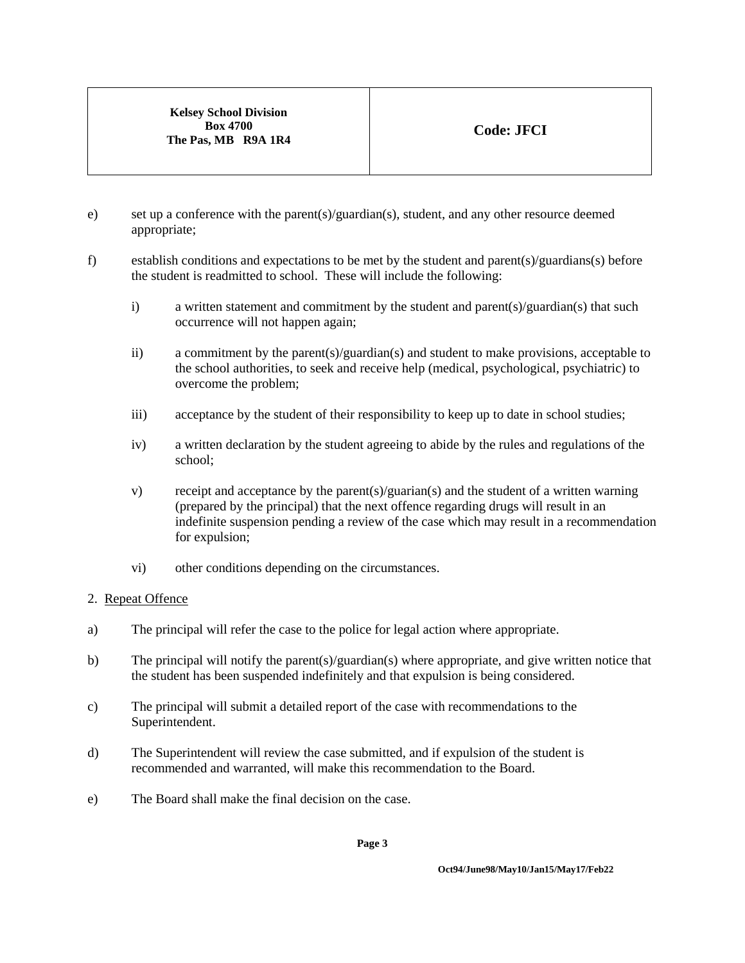- e) set up a conference with the parent(s)/guardian(s), student, and any other resource deemed appropriate;
- f) establish conditions and expectations to be met by the student and parent(s)/guardians(s) before the student is readmitted to school. These will include the following:
	- i) a written statement and commitment by the student and parent(s)/guardian(s) that such occurrence will not happen again;
	- ii) a commitment by the parent(s)/guardian(s) and student to make provisions, acceptable to the school authorities, to seek and receive help (medical, psychological, psychiatric) to overcome the problem;
	- iii) acceptance by the student of their responsibility to keep up to date in school studies;
	- iv) a written declaration by the student agreeing to abide by the rules and regulations of the school;
	- v) receipt and acceptance by the parent(s)/guarian(s) and the student of a written warning (prepared by the principal) that the next offence regarding drugs will result in an indefinite suspension pending a review of the case which may result in a recommendation for expulsion;
	- vi) other conditions depending on the circumstances.

# 2. Repeat Offence

- a) The principal will refer the case to the police for legal action where appropriate.
- b) The principal will notify the parent(s)/guardian(s) where appropriate, and give written notice that the student has been suspended indefinitely and that expulsion is being considered.
- c) The principal will submit a detailed report of the case with recommendations to the Superintendent.
- d) The Superintendent will review the case submitted, and if expulsion of the student is recommended and warranted, will make this recommendation to the Board.
- e) The Board shall make the final decision on the case.